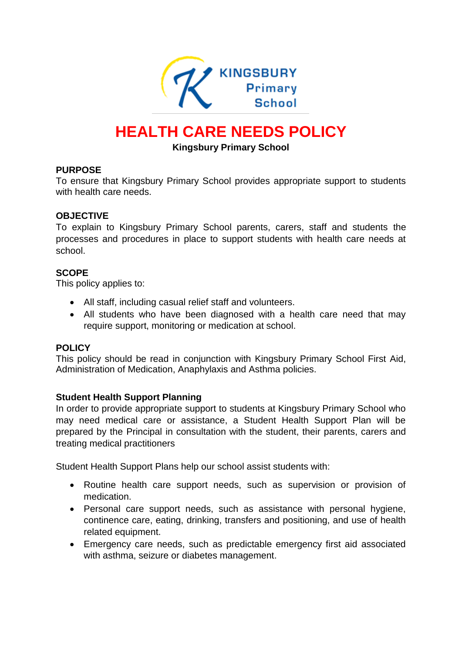

# **HEALTH CARE NEEDS POLICY**

#### **Kingsbury Primary School**

#### **PURPOSE**

To ensure that Kingsbury Primary School provides appropriate support to students with health care needs.

#### **OBJECTIVE**

To explain to Kingsbury Primary School parents, carers, staff and students the processes and procedures in place to support students with health care needs at school.

#### **SCOPE**

This policy applies to:

- All staff, including casual relief staff and volunteers.
- All students who have been diagnosed with a health care need that may require support, monitoring or medication at school.

#### **POLICY**

This policy should be read in conjunction with Kingsbury Primary School First Aid, Administration of Medication, Anaphylaxis and Asthma policies.

#### **Student Health Support Planning**

In order to provide appropriate support to students at Kingsbury Primary School who may need medical care or assistance, a Student Health Support Plan will be prepared by the Principal in consultation with the student, their parents, carers and treating medical practitioners

Student Health Support Plans help our school assist students with:

- Routine health care support needs, such as supervision or provision of medication.
- Personal care support needs, such as assistance with personal hygiene, continence care, eating, drinking, transfers and positioning, and use of health related equipment.
- Emergency care needs, such as predictable emergency first aid associated with asthma, seizure or diabetes management.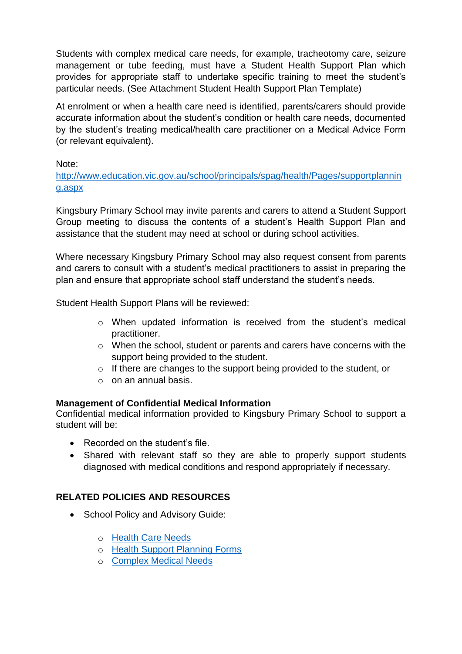Students with complex medical care needs, for example, tracheotomy care, seizure management or tube feeding, must have a Student Health Support Plan which provides for appropriate staff to undertake specific training to meet the student's particular needs. (See Attachment Student Health Support Plan Template)

At enrolment or when a health care need is identified, parents/carers should provide accurate information about the student's condition or health care needs, documented by the student's treating medical/health care practitioner on a Medical Advice Form (or relevant equivalent).

Note:

[http://www.education.vic.gov.au/school/principals/spag/health/Pages/supportplannin](http://www.education.vic.gov.au/school/principals/spag/health/Pages/supportplanning.aspx) [g.aspx](http://www.education.vic.gov.au/school/principals/spag/health/Pages/supportplanning.aspx)

Kingsbury Primary School may invite parents and carers to attend a Student Support Group meeting to discuss the contents of a student's Health Support Plan and assistance that the student may need at school or during school activities.

Where necessary Kingsbury Primary School may also request consent from parents and carers to consult with a student's medical practitioners to assist in preparing the plan and ensure that appropriate school staff understand the student's needs.

Student Health Support Plans will be reviewed:

- o When updated information is received from the student's medical practitioner.
- o When the school, student or parents and carers have concerns with the support being provided to the student.
- o If there are changes to the support being provided to the student, or
- $\circ$  on an annual basis.

### **Management of Confidential Medical Information**

Confidential medical information provided to Kingsbury Primary School to support a student will be:

- Recorded on the student's file.
- Shared with relevant staff so they are able to properly support students diagnosed with medical conditions and respond appropriately if necessary.

# **RELATED POLICIES AND RESOURCES**

- School Policy and Advisory Guide:
	- o [Health Care Needs](http://www.education.vic.gov.au/school/principals/spag/health/Pages/healthcareneeds.aspx#link80)
	- o [Health Support Planning Forms](http://www.education.vic.gov.au/school/principals/spag/health/Pages/supportplanning.aspx)
	- o [Complex Medical Needs](http://www.education.vic.gov.au/school/principals/spag/health/Pages/complexneeds.aspx)